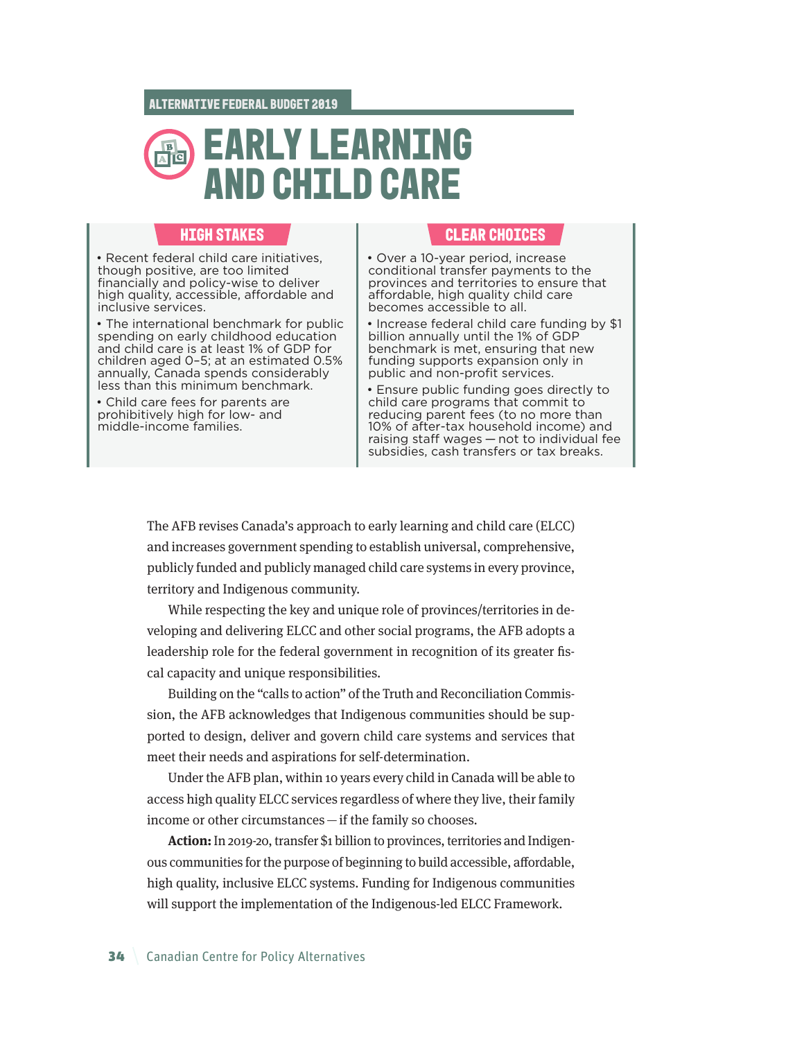## C B **RLY LEARNING AND CHILD CARE**

• Recent federal child care initiatives, though positive, are too limited financially and policy-wise to deliver high quality, accessible, affordable and inclusive services.

• The international benchmark for public spending on early childhood education and child care is at least 1% of GDP for children aged 0–5; at an estimated 0.5% annually, Canada spends considerably less than this minimum benchmark.

• Child care fees for parents are prohibitively high for low- and middle-income families.

## **HIGH** STAKES **CLEAR** CLEAR CHOICES

• Over a 10-year period, increase conditional transfer payments to the provinces and territories to ensure that affordable, high quality child care becomes accessible to all.

• Increase federal child care funding by \$1 billion annually until the 1% of GDP benchmark is met, ensuring that new funding supports expansion only in public and non-profit services.

• Ensure public funding goes directly to child care programs that commit to reducing parent fees (to no more than 10% of after-tax household income) and raising staff wages — not to individual fee subsidies, cash transfers or tax breaks.

The AFB revises Canada's approach to early learning and child care (ELCC) and increases government spending to establish universal, comprehensive, publicly funded and publicly managed child care systems in every province, territory and Indigenous community.

While respecting the key and unique role of provinces/territories in developing and delivering ELCC and other social programs, the AFB adopts a leadership role for the federal government in recognition of its greater fiscal capacity and unique responsibilities.

Building on the "calls to action" of the Truth and Reconciliation Commission, the AFB acknowledges that Indigenous communities should be supported to design, deliver and govern child care systems and services that meet their needs and aspirations for self-determination.

Under the AFB plan, within 10 years every child in Canada will be able to access high quality ELCC services regardless of where they live, their family income or other circumstances—if the family so chooses.

**Action:** In 2019-20, transfer \$1 billion to provinces, territories and Indigenous communities for the purpose of beginning to build accessible, affordable, high quality, inclusive ELCC systems. Funding for Indigenous communities will support the implementation of the Indigenous-led ELCC Framework.